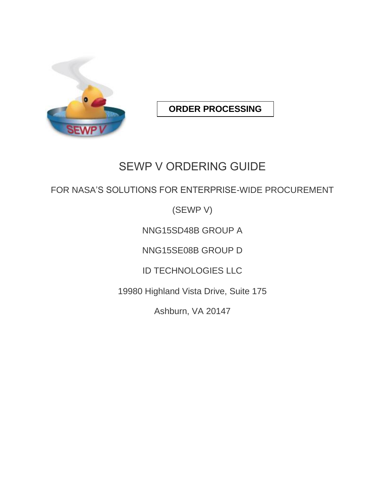

### **ORDER PROCESSING**

## SEWP V ORDERING GUIDE

### FOR NASA'S SOLUTIONS FOR ENTERPRISE-WIDE PROCUREMENT

### (SEWP V)

### NNG15SD48B GROUP A

### NNG15SE08B GROUP D

### ID TECHNOLOGIES LLC

### 19980 Highland Vista Drive, Suite 175

### Ashburn, VA 20147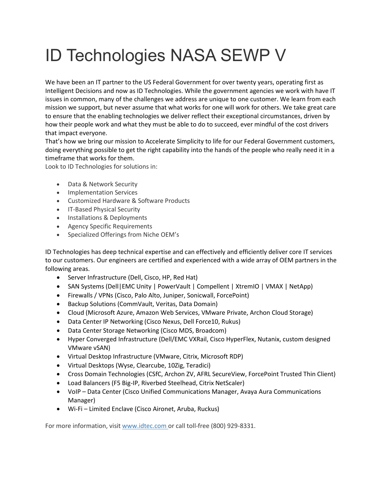# ID Technologies NASA SEWP V

We have been an IT partner to the US Federal Government for over twenty years, operating first as Intelligent Decisions and now as ID Technologies. While the government agencies we work with have IT issues in common, many of the challenges we address are unique to one customer. We learn from each mission we support, but never assume that what works for one will work for others. We take great care to ensure that the enabling technologies we deliver reflect their exceptional circumstances, driven by how their people work and what they must be able to do to succeed, ever mindful of the cost drivers that impact everyone.

That's how we bring our mission to Accelerate Simplicity to life for our Federal Government customers, doing everything possible to get the right capability into the hands of the people who really need it in a timeframe that works for them.

Look to ID Technologies for solutions in:

- Data & Network Security
- Implementation Services
- Customized Hardware & Software Products
- IT-Based Physical Security
- Installations & Deployments
- Agency Specific Requirements
- Specialized Offerings from Niche OEM's

ID Technologies has deep technical expertise and can effectively and efficiently deliver core IT services to our customers. Our engineers are certified and experienced with a wide array of OEM partners in the following areas.

- Server Infrastructure (Dell, Cisco, HP, Red Hat)
- SAN Systems (Dell|EMC Unity | PowerVault | Compellent | XtremIO | VMAX | NetApp)
- Firewalls / VPNs (Cisco, Palo Alto, Juniper, Sonicwall, ForcePoint)
- Backup Solutions (CommVault, Veritas, Data Domain)
- Cloud (Microsoft Azure, Amazon Web Services, VMware Private, Archon Cloud Storage)
- Data Center IP Networking (Cisco Nexus, Dell Force10, Rukus)
- Data Center Storage Networking (Cisco MDS, Broadcom)
- Hyper Converged Infrastructure (Dell/EMC VXRail, Cisco HyperFlex, Nutanix, custom designed VMware vSAN)
- Virtual Desktop Infrastructure (VMware, Citrix, Microsoft RDP)
- Virtual Desktops (Wyse, Clearcube, 10Zig, Teradici)
- Cross Domain Technologies (CSfC, Archon ZV, AFRL SecureView, ForcePoint Trusted Thin Client)
- Load Balancers (F5 Big-IP, Riverbed Steelhead, Citrix NetScaler)
- VoIP Data Center (Cisco Unified Communications Manager, Avaya Aura Communications Manager)
- Wi-Fi Limited Enclave (Cisco Aironet, Aruba, Ruckus)

For more information, visit [www.idtec.com](http://www.idtec.com/) or call toll-free (800) 929-8331.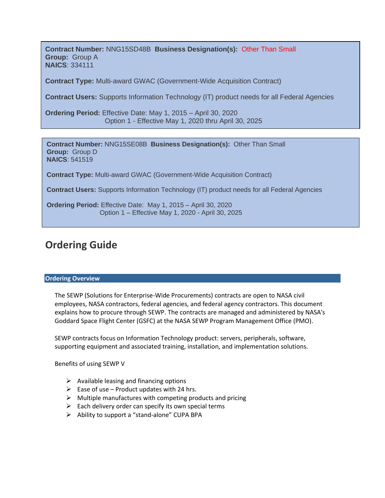**Contract Number:** NNG15SD48B **Business Designation(s):** Other Than Small **Group:** Group A **NAICS**: 334111

**Contract Type:** Multi-award GWAC (Government-Wide Acquisition Contract)

**Contract Users:** Supports Information Technology (IT) product needs for all Federal Agencies

**Ordering Period:** Effective Date: May 1, 2015 – April 30, 2020 Option 1 - Effective May 1, 2020 thru April 30, 2025

**Contract Number:** NNG15SE08B **Business Designation(s):** Other Than Small **Group:** Group D **NAICS**: 541519

**Contract Type:** Multi-award GWAC (Government-Wide Acquisition Contract)

**Contract Users:** Supports Information Technology (IT) product needs for all Federal Agencies

**Ordering Period:** Effective Date: May 1, 2015 – April 30, 2020 Option 1 – Effective May 1, 2020 - April 30, 2025

#### **Ordering Guide**

#### **Ordering Overview**

The SEWP (Solutions for Enterprise-Wide Procurements) contracts are open to NASA civil employees, NASA contractors, federal agencies, and federal agency contractors. This document explains how to procure through SEWP. The contracts are managed and administered by NASA's Goddard Space Flight Center (GSFC) at the NASA SEWP Program Management Office (PMO).

SEWP contracts focus on Information Technology product: servers, peripherals, software, supporting equipment and associated training, installation, and implementation solutions.

Benefits of using SEWP V

- $\triangleright$  Available leasing and financing options
- $\triangleright$  Ease of use Product updates with 24 hrs.
- $\triangleright$  Multiple manufactures with competing products and pricing
- $\triangleright$  Each delivery order can specify its own special terms
- ➢ Ability to support a "stand-alone" CUPA BPA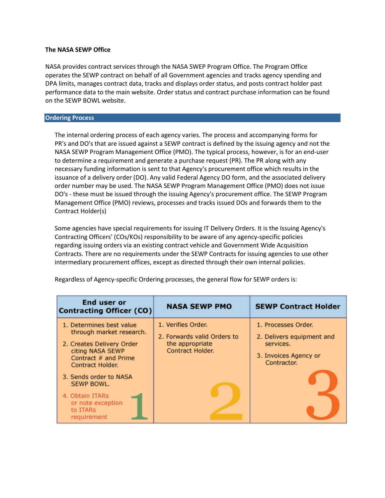#### **The NASA SEWP Office**

NASA provides contract services through the NASA SWEP Program Office. The Program Office operates the SEWP contract on behalf of all Government agencies and tracks agency spending and DPA limits, manages contract data, tracks and displays order status, and posts contract holder past performance data to the main website. Order status and contract purchase information can be found on the SEWP BOWL website.

#### **Ordering Process**

The internal ordering process of each agency varies. The process and accompanying forms for PR's and DO's that are issued against a SEWP contract is defined by the issuing agency and not the NASA SEWP Program Management Office (PMO). The typical process, however, is for an end-user to determine a requirement and generate a purchase request (PR). The PR along with any necessary funding information is sent to that Agency's procurement office which results in the issuance of a delivery order (DO). Any valid Federal Agency DO form, and the associated delivery order number may be used. The NASA SEWP Program Management Office (PMO) does not issue DO's - these must be issued through the issuing Agency's procurement office. The SEWP Program Management Office (PMO) reviews, processes and tracks issued DOs and forwards them to the Contract Holder(s)

Some agencies have special requirements for issuing IT Delivery Orders. It is the Issuing Agency's Contracting Officers' (COs/KOs) responsibility to be aware of any agency-specific policies regarding issuing orders via an existing contract vehicle and Government Wide Acquisition Contracts. There are no requirements under the SEWP Contracts for issuing agencies to use other intermediary procurement offices, except as directed through their own internal policies.

| <b>End user or</b><br><b>Contracting Officer (CO)</b>                                                                                             | <b>NASA SEWP PMO</b>                                                                     | <b>SEWP Contract Holder</b>                                                                           |
|---------------------------------------------------------------------------------------------------------------------------------------------------|------------------------------------------------------------------------------------------|-------------------------------------------------------------------------------------------------------|
| 1. Determines best value<br>through market research.<br>2. Creates Delivery Order<br>citing NASA SEWP<br>Contract # and Prime<br>Contract Holder. | 1. Verifies Order.<br>2. Forwards valid Orders to<br>the appropriate<br>Contract Holder. | 1. Processes Order.<br>2. Delivers equipment and<br>services.<br>3. Invoices Agency or<br>Contractor. |
| 3. Sends order to NASA<br>SEWP BOWL.<br>4. Obtain ITARs<br>or note exception<br>to ITARs<br>requirement                                           |                                                                                          |                                                                                                       |

Regardless of Agency-specific Ordering processes, the general flow for SEWP orders is: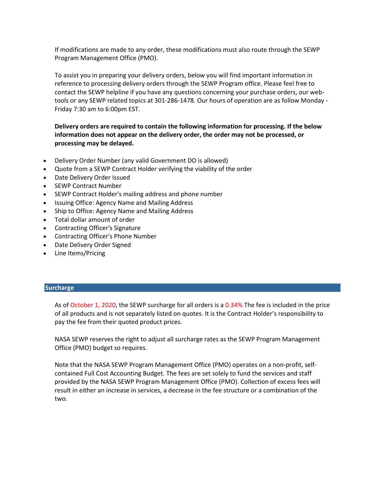If modifications are made to any order, these modifications must also route through the SEWP Program Management Office (PMO).

To assist you in preparing your delivery orders, below you will find important information in reference to processing delivery orders through the SEWP Program office. Please feel free to contact the SEWP helpline if you have any questions concerning your purchase orders, our webtools or any SEWP related topics at 301-286-1478. Our hours of operation are as follow Monday - Friday 7:30 am to 6:00pm EST.

#### **Delivery orders are required to contain the following information for processing. If the below information does not appear on the delivery order, the order may not be processed, or processing may be delayed.**

- Delivery Order Number (any valid Government DO is allowed)
- Quote from a SEWP Contract Holder verifying the viability of the order
- Date Delivery Order Issued
- SEWP Contract Number
- SEWP Contract Holder's mailing address and phone number
- Issuing Office: Agency Name and Mailing Address
- Ship to Office: Agency Name and Mailing Address
- Total dollar amount of order
- Contracting Officer's Signature
- Contracting Officer's Phone Number
- Date Delivery Order Signed
- Line Items/Pricing

#### **Surcharge**

As of October 1, 2020, the SEWP surcharge for all orders is a 0.34% The fee is included in the price of all products and is not separately listed on quotes. It is the Contract Holder's responsibility to pay the fee from their quoted product prices.

NASA SEWP reserves the right to adjust all surcharge rates as the SEWP Program Management Office (PMO) budget so requires.

Note that the NASA SEWP Program Management Office (PMO) operates on a non-profit, selfcontained Full Cost Accounting Budget. The fees are set solely to fund the services and staff provided by the NASA SEWP Program Management Office (PMO). Collection of excess fees will result in either an increase in services, a decrease in the fee structure or a combination of the two.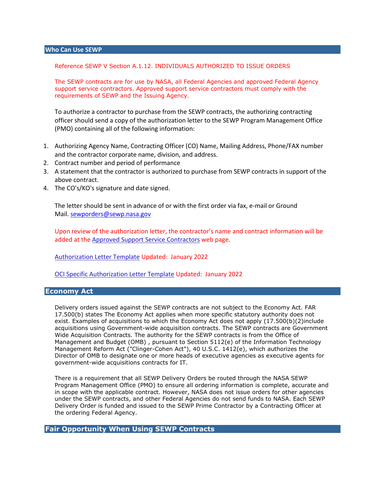#### **Who Can Use SEWP**

Reference SEWP V Section A.1.12. INDIVIDUALS AUTHORIZED TO ISSUE ORDERS

The SEWP contracts are for use by NASA, all Federal Agencies and approved Federal Agency support service contractors. Approved support service contractors must comply with the requirements of SEWP and the Issuing Agency.

To authorize a contractor to purchase from the SEWP contracts, the authorizing contracting officer should send a copy of the authorization letter to the SEWP Program Management Office (PMO) containing all of the following information:

- 1. Authorizing Agency Name, Contracting Officer (CO) Name, Mailing Address, Phone/FAX number and the contractor corporate name, division, and address.
- 2. Contract number and period of performance
- 3. A statement that the contractor is authorized to purchase from SEWP contracts in support of the above contract.
- 4. The CO's/KO's signature and date signed.

The letter should be sent in advance of or with the first order via fax, e-mail or Ground Mail. [sewporders@sewp.nasa.gov](mailto:sewporders@sewp.nasa.gov)

Upon review of the authorization letter, the contractor's name and contract information will be added at the Approved Support Service Contractors web page.

[Authorization Letter Template](https://sewpv.com/AuthorizationLetterTemplate.pdf) Updated: January 2022

OCI Specific Authorization Letter Template Updated: January 2022

#### **Economy Act**

Delivery orders issued against the SEWP contracts are not subject to the Economy Act. FAR 17.500(b) states The Economy Act applies when more specific statutory authority does not exist. Examples of acquisitions to which the Economy Act does not apply (17.500(b)(2)include acquisitions using Government-wide acquisition contracts. The SEWP contracts are Government Wide Acquisition Contracts. The authority for the SEWP contracts is from the Office of Management and Budget (OMB) , pursuant to Section 5112(e) of the Information Technology Management Reform Act ("Clinger-Cohen Act"), 40 U.S.C. 1412(e), which authorizes the Director of OMB to designate one or more heads of executive agencies as executive agents for government-wide acquisitions contracts for IT.

There is a requirement that all SEWP Delivery Orders be routed through the NASA SEWP Program Management Office (PMO) to ensure all ordering information is complete, accurate and in scope with the applicable contract. However, NASA does not issue orders for other agencies under the SEWP contracts, and other Federal Agencies do not send funds to NASA. Each SEWP Delivery Order is funded and issued to the SEWP Prime Contractor by a Contracting Officer at the ordering Federal Agency.

#### **Fair Opportunity When Using SEWP Contracts**